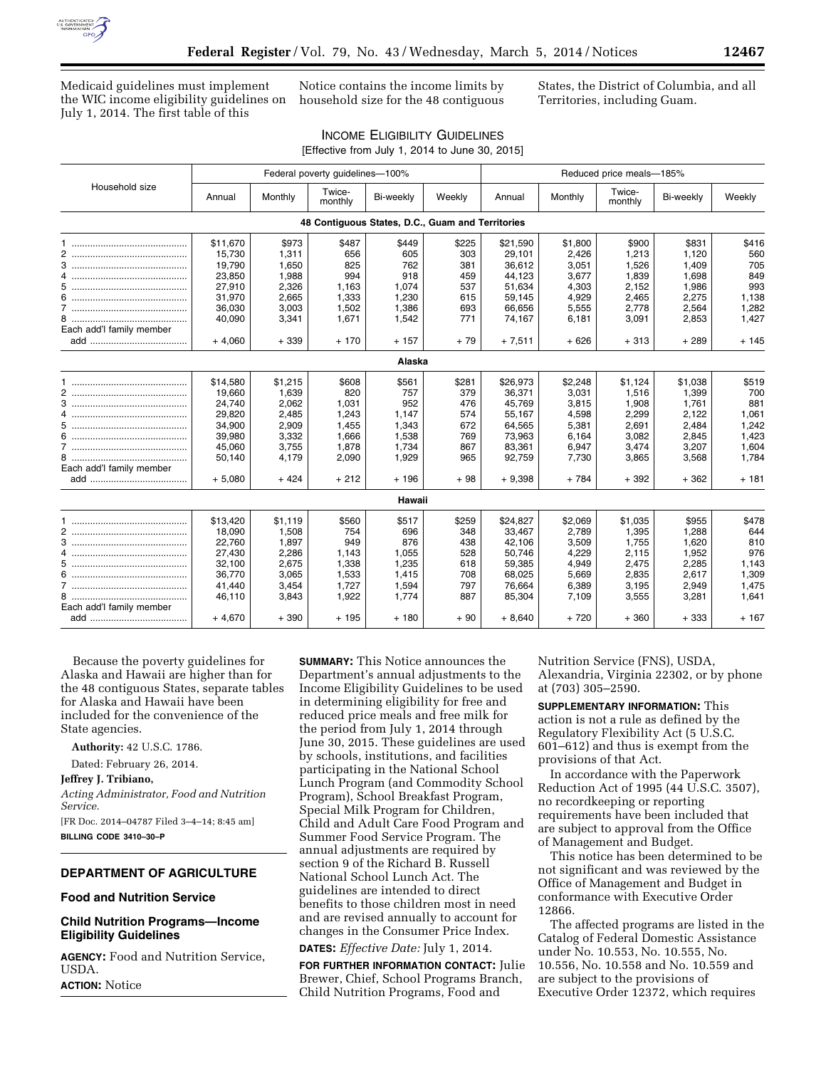

Medicaid guidelines must implement the WIC income eligibility guidelines on July 1, 2014. The first table of this

Notice contains the income limits by household size for the 48 contiguous States, the District of Columbia, and all Territories, including Guam.

| <b>INCOME ELIGIBILITY GUIDELINES</b>           |  |
|------------------------------------------------|--|
| [Effective from July 1, 2014 to June 30, 2015] |  |

|                          | Federal poverty guidelines-100% |         |                                                  |                |        |          | Reduced price meals-185% |                   |           |                |  |  |  |
|--------------------------|---------------------------------|---------|--------------------------------------------------|----------------|--------|----------|--------------------------|-------------------|-----------|----------------|--|--|--|
| Household size           | Annual                          | Monthly | Twice-<br>monthly                                | Bi-weekly      | Weekly | Annual   | Monthly                  | Twice-<br>monthly | Bi-weekly | Weekly         |  |  |  |
|                          |                                 |         | 48 Contiquous States, D.C., Guam and Territories |                |        |          |                          |                   |           |                |  |  |  |
|                          | \$11,670                        | \$973   | \$487                                            | \$449          | \$225  | \$21,590 | \$1,800                  | \$900             | \$831     | \$416          |  |  |  |
|                          | 15.730                          | 1,311   | 656                                              | 605            | 303    | 29,101   | 2,426                    | 1,213             | 1.120     | 560            |  |  |  |
| 3                        | 19,790                          | 1,650   | 825                                              | 762            | 381    | 36,612   | 3,051                    | 1,526             | 1,409     | 705            |  |  |  |
| 4                        | 23,850                          | 1,988   | 994                                              | 918            | 459    | 44,123   | 3,677                    | 1,839             | 1,698     | 849            |  |  |  |
| 5                        | 27,910                          | 2,326   | 1,163                                            | 1.074          | 537    | 51,634   | 4,303                    | 2,152             | 1,986     | 993            |  |  |  |
| 6                        | 31,970                          | 2,665   | 1,333                                            | 1,230          | 615    | 59,145   | 4,929                    | 2,465             | 2,275     | 1,138          |  |  |  |
| $\overline{7}$           | 36,030                          | 3,003   | 1,502                                            | 1,386          | 693    | 66,656   | 5,555                    | 2,778             | 2,564     | 1,282          |  |  |  |
|                          | 40,090                          | 3,341   | 1,671                                            | 1,542          | 771    | 74,167   | 6,181                    | 3,091             | 2,853     | 1,427          |  |  |  |
| Each add'l family member |                                 |         |                                                  |                |        |          |                          |                   |           |                |  |  |  |
|                          | $+4,060$                        | $+339$  | $+170$                                           | $+157$         | + 79   | $+7,511$ | $+626$                   | $+313$            | $+289$    | $+145$         |  |  |  |
|                          |                                 |         |                                                  | Alaska         |        |          |                          |                   |           |                |  |  |  |
|                          | \$14,580                        | \$1,215 | \$608                                            | \$561          | \$281  | \$26,973 | \$2,248                  | \$1,124           | \$1,038   | \$519          |  |  |  |
| $\overline{2}$           | 19,660                          | 1,639   | 820                                              | 757            | 379    | 36,371   | 3,031                    | 1,516             | 1,399     | 700            |  |  |  |
|                          | 24.740                          | 2,062   | 1,031                                            | 952            | 476    | 45.769   | 3,815                    | 1,908             | 1,761     | 881            |  |  |  |
| 4                        | 29,820                          | 2,485   | 1,243                                            | 1,147          | 574    | 55,167   | 4,598                    | 2,299             | 2,122     | 1,061          |  |  |  |
| 5                        | 34,900                          | 2,909   | 1,455                                            | 1,343          | 672    | 64,565   | 5,381                    | 2,691             | 2,484     | 1,242          |  |  |  |
| 6                        | 39,980                          | 3,332   | 1,666                                            | 1,538          | 769    | 73,963   | 6,164                    | 3,082             | 2,845     | 1,423          |  |  |  |
|                          | 45,060                          | 3,755   | 1,878                                            | 1,734          | 867    | 83,361   | 6,947                    | 3,474             | 3,207     | 1,604          |  |  |  |
|                          | 50,140                          | 4,179   | 2,090                                            | 1,929          | 965    | 92,759   | 7.730                    | 3,865             | 3,568     | 1,784          |  |  |  |
| Each add'l family member |                                 |         |                                                  |                |        |          |                          |                   |           |                |  |  |  |
|                          | $+5,080$                        | + 424   | $+212$                                           | $+196$         | + 98   | $+9,398$ | + 784                    | + 392             | + 362     | + 181          |  |  |  |
|                          |                                 |         |                                                  | <b>Hawaii</b>  |        |          |                          |                   |           |                |  |  |  |
|                          | \$13,420                        | \$1,119 | \$560                                            | \$517          | \$259  | \$24,827 | \$2,069                  | \$1,035           | \$955     | \$478          |  |  |  |
| 2                        | 18.090                          | 1,508   | 754                                              | 696            | 348    | 33,467   | 2,789                    | 1,395             | 1,288     | 644            |  |  |  |
| 3                        | 22,760                          | 1,897   | 949                                              | 876            | 438    | 42,106   | 3,509                    | 1,755             | 1,620     | 810            |  |  |  |
|                          | 27,430                          | 2,286   | 1,143                                            | 1,055          | 528    | 50.746   | 4,229                    | 2,115             | 1,952     | 976            |  |  |  |
|                          | 32,100                          | 2,675   | 1,338                                            | 1,235          | 618    | 59,385   | 4,949                    | 2,475             | 2,285     | 1,143          |  |  |  |
| 6                        | 36,770                          | 3,065   | 1,533                                            | 1,415          | 708    | 68,025   | 5,669                    | 2,835             | 2,617     | 1,309          |  |  |  |
|                          | 41,440                          | 3,454   | 1,727                                            |                | 797    | 76,664   | 6,389                    | 3,195             | 2,949     |                |  |  |  |
| 8                        |                                 | 3,843   | 1,922                                            | 1,594<br>1,774 | 887    | 85,304   | 7,109                    | 3,555             |           | 1,475<br>1,641 |  |  |  |
| Each add'l family member | 46,110                          |         |                                                  |                |        |          |                          |                   | 3,281     |                |  |  |  |
|                          | $+4,670$                        | $+390$  | $+195$                                           | $+180$         | $+90$  | $+8,640$ | $+720$                   | $+360$            | $+333$    | $+167$         |  |  |  |

Because the poverty guidelines for Alaska and Hawaii are higher than for the 48 contiguous States, separate tables for Alaska and Hawaii have been included for the convenience of the State agencies.

**Authority:** 42 U.S.C. 1786.

Dated: February 26, 2014.

**Jeffrey J. Tribiano,** 

*Acting Administrator, Food and Nutrition Service.* 

[FR Doc. 2014–04787 Filed 3–4–14; 8:45 am] **BILLING CODE 3410–30–P** 

### **DEPARTMENT OF AGRICULTURE**

# **Food and Nutrition Service**

### **Child Nutrition Programs—Income Eligibility Guidelines**

**AGENCY:** Food and Nutrition Service, USDA. **ACTION:** Notice

Department's annual adjustments to the Income Eligibility Guidelines to be used in determining eligibility for free and reduced price meals and free milk for the period from July 1, 2014 through June 30, 2015. These guidelines are used by schools, institutions, and facilities participating in the National School Lunch Program (and Commodity School Program), School Breakfast Program, Special Milk Program for Children, Child and Adult Care Food Program and Summer Food Service Program. The annual adjustments are required by section 9 of the Richard B. Russell National School Lunch Act. The guidelines are intended to direct benefits to those children most in need and are revised annually to account for changes in the Consumer Price Index.

**SUMMARY:** This Notice announces the

### **DATES:** *Effective Date:* July 1, 2014.

**FOR FURTHER INFORMATION CONTACT:** Julie Brewer, Chief, School Programs Branch, Child Nutrition Programs, Food and

Nutrition Service (FNS), USDA, Alexandria, Virginia 22302, or by phone at (703) 305–2590.

**SUPPLEMENTARY INFORMATION:** This action is not a rule as defined by the Regulatory Flexibility Act (5 U.S.C. 601–612) and thus is exempt from the provisions of that Act.

In accordance with the Paperwork Reduction Act of 1995 (44 U.S.C. 3507), no recordkeeping or reporting requirements have been included that are subject to approval from the Office of Management and Budget.

This notice has been determined to be not significant and was reviewed by the Office of Management and Budget in conformance with Executive Order 12866.

The affected programs are listed in the Catalog of Federal Domestic Assistance under No. 10.553, No. 10.555, No. 10.556, No. 10.558 and No. 10.559 and are subject to the provisions of Executive Order 12372, which requires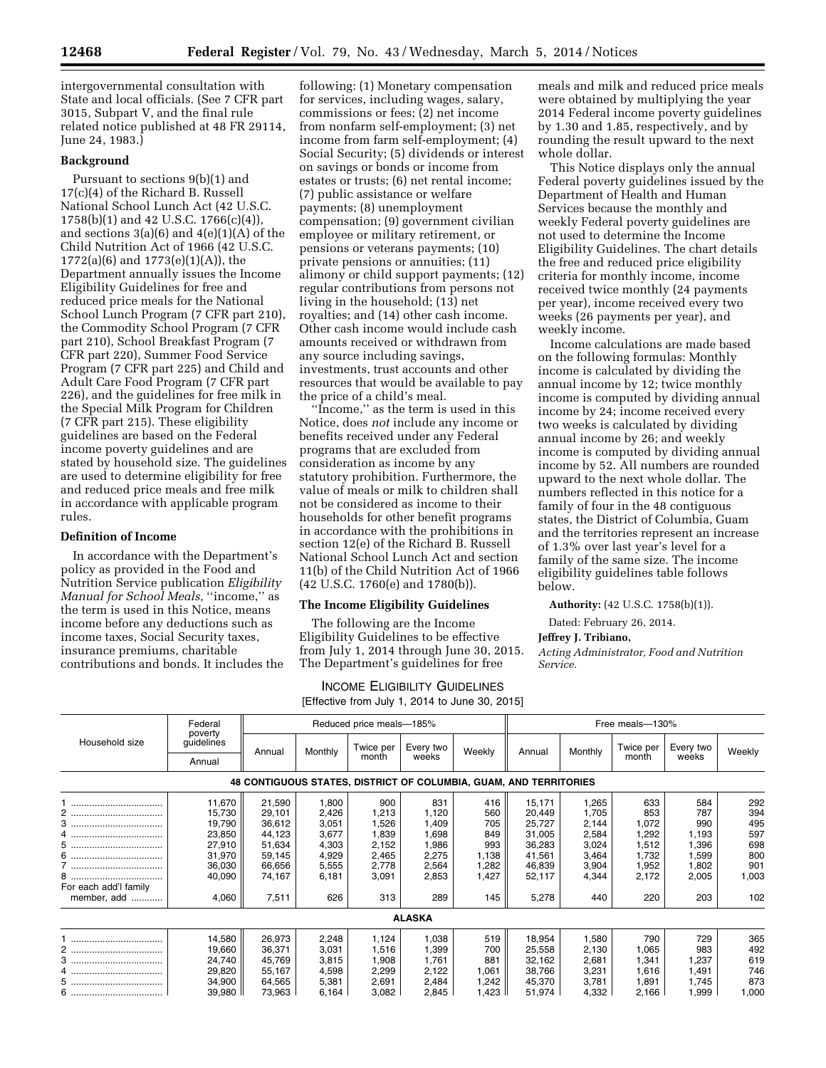intergovernmental consultation with State and local officials. (See 7 CFR part 3015, Subpart V, and the final rule related notice published at 48 FR 29114, June 24, 1983.)

#### **Background**

Pursuant to sections 9(b)(1) and 17(c)(4) of the Richard B. Russell National School Lunch Act (42 U.S.C. 1758(b)(1) and 42 U.S.C. 1766(c)(4)), and sections  $3(a)(6)$  and  $4(e)(1)(A)$  of the Child Nutrition Act of 1966 (42 U.S.C. 1772(a)(6) and 1773(e)(1)(A)), the Department annually issues the Income Eligibility Guidelines for free and reduced price meals for the National School Lunch Program (7 CFR part 210), the Commodity School Program (7 CFR part 210), School Breakfast Program (7 CFR part 220), Summer Food Service Program (7 CFR part 225) and Child and Adult Care Food Program (7 CFR part 226), and the guidelines for free milk in the Special Milk Program for Children (7 CFR part 215). These eligibility guidelines are based on the Federal income poverty guidelines and are stated by household size. The guidelines are used to determine eligibility for free and reduced price meals and free milk in accordance with applicable program rules.

#### **Definition of Income**

In accordance with the Department's policy as provided in the Food and Nutrition Service publication *Eligibility Manual for School Meals,* ''income,'' as the term is used in this Notice, means income before any deductions such as income taxes, Social Security taxes, insurance premiums, charitable contributions and bonds. It includes the

following: (1) Monetary compensation for services, including wages, salary, commissions or fees; (2) net income from nonfarm self-employment; (3) net income from farm self-employment; (4) Social Security; (5) dividends or interest on savings or bonds or income from estates or trusts; (6) net rental income; (7) public assistance or welfare payments; (8) unemployment compensation; (9) government civilian employee or military retirement, or pensions or veterans payments; (10) private pensions or annuities; (11) alimony or child support payments; (12) regular contributions from persons not living in the household; (13) net royalties; and (14) other cash income. Other cash income would include cash amounts received or withdrawn from any source including savings, investments, trust accounts and other resources that would be available to pay the price of a child's meal.

''Income,'' as the term is used in this Notice, does *not* include any income or benefits received under any Federal programs that are excluded from consideration as income by any statutory prohibition. Furthermore, the value of meals or milk to children shall not be considered as income to their households for other benefit programs in accordance with the prohibitions in section 12(e) of the Richard B. Russell National School Lunch Act and section 11(b) of the Child Nutrition Act of 1966 (42 U.S.C. 1760(e) and 1780(b)).

#### **The Income Eligibility Guidelines**

The following are the Income Eligibility Guidelines to be effective from July 1, 2014 through June 30, 2015. The Department's guidelines for free

INCOME ELIGIBILITY GUIDELINES

meals and milk and reduced price meals were obtained by multiplying the year 2014 Federal income poverty guidelines by 1.30 and 1.85, respectively, and by rounding the result upward to the next whole dollar.

This Notice displays only the annual Federal poverty guidelines issued by the Department of Health and Human Services because the monthly and weekly Federal poverty guidelines are not used to determine the Income Eligibility Guidelines. The chart details the free and reduced price eligibility criteria for monthly income, income received twice monthly (24 payments per year), income received every two weeks (26 payments per year), and weekly income.

Income calculations are made based on the following formulas: Monthly income is calculated by dividing the annual income by 12; twice monthly income is computed by dividing annual income by 24; income received every two weeks is calculated by dividing annual income by 26; and weekly income is computed by dividing annual income by 52. All numbers are rounded upward to the next whole dollar. The numbers reflected in this notice for a family of four in the 48 contiguous states, the District of Columbia, Guam and the territories represent an increase of 1.3% over last year's level for a family of the same size. The income eligibility guidelines table follows below.

**Authority:** (42 U.S.C. 1758(b)(1)).

Dated: February 26, 2014.

#### **Jeffrey J. Tribiano,**

*Acting Administrator, Food and Nutrition Service.* 

|                                                                   |                    |        |         |                          | [Effective from July 1, 2014 to June 30, 2015] |                 |        |         |           |           |        |
|-------------------------------------------------------------------|--------------------|--------|---------|--------------------------|------------------------------------------------|-----------------|--------|---------|-----------|-----------|--------|
|                                                                   | Federal<br>poverty |        |         | Reduced price meals-185% |                                                | Free meals-130% |        |         |           |           |        |
| Household size                                                    | guidelines         | Annual | Monthly | Twice per                | Every two                                      | Weekly          | Annual | Monthly | Twice per | Every two | Weekly |
|                                                                   | Annual             |        |         | month                    | weeks                                          |                 |        |         | month     | weeks     |        |
| 48 CONTIGUOUS STATES, DISTRICT OF COLUMBIA, GUAM, AND TERRITORIES |                    |        |         |                          |                                                |                 |        |         |           |           |        |
|                                                                   | 11,670             | 21,590 | 1,800   | 900                      | 831                                            | 416             | 15,171 | 1,265   | 633       | 584       | 292    |
|                                                                   | 15,730             | 29,101 | 2,426   | 1,213                    | 1,120                                          | 560             | 20,449 | 1,705   | 853       | 787       | 394    |
|                                                                   | 19,790             | 36,612 | 3,051   | 1,526                    | 1,409                                          | 705             | 25,727 | 2,144   | 1,072     | 990       | 495    |
|                                                                   | 23,850             | 44,123 | 3,677   | 1,839                    | 1,698                                          | 849             | 31,005 | 2,584   | 1,292     | 1,193     | 597    |
|                                                                   | 27,910             | 51,634 | 4,303   | 2,152                    | 1,986                                          | 993             | 36,283 | 3,024   | 1,512     | 1,396     | 698    |
|                                                                   | 31,970             | 59,145 | 4,929   | 2,465                    | 2,275                                          | 1,138           | 41,561 | 3,464   | 1,732     | 1,599     | 800    |
|                                                                   | 36,030             | 66,656 | 5,555   | 2,778                    | 2,564                                          | 1,282           | 46,839 | 3,904   | 1,952     | 1,802     | 901    |
|                                                                   | 40,090             | 74,167 | 6,181   | 3,091                    | 2,853                                          | 1,427           | 52,117 | 4,344   | 2,172     | 2,005     | 1,003  |
| For each add'l family                                             |                    |        |         |                          |                                                |                 |        |         |           |           |        |
| member, add                                                       | 4,060              | 7,511  | 626     | 313                      | 289                                            | 145             | 5,278  | 440     | 220       | 203       | 102    |
| <b>ALASKA</b>                                                     |                    |        |         |                          |                                                |                 |        |         |           |           |        |
|                                                                   | 14,580             | 26,973 | 2,248   | 1,124                    | 1,038                                          | 519             | 18,954 | 1,580   | 790       | 729       | 365    |
|                                                                   | 19,660             | 36,371 | 3,031   | 1,516                    | 1,399                                          | 700             | 25,558 | 2,130   | 1,065     | 983       | 492    |
|                                                                   | 24,740             | 45,769 | 3,815   | 1,908                    | 1,761                                          | 881             | 32,162 | 2,681   | 1,341     | 1,237     | 619    |
|                                                                   | 29,820             | 55,167 | 4,598   | 2,299                    | 2,122                                          | 1,061           | 38,766 | 3,231   | 1,616     | 1,491     | 746    |
|                                                                   | 34,900             | 64,565 | 5,381   | 2,691                    | 2,484                                          | 1,242           | 45,370 | 3,781   | 1,891     | 1,745     | 873    |
|                                                                   | 39,980             | 73,963 | 6,164   | 3,082                    | 2,845                                          | 1,423           | 51,974 | 4,332   | 2,166     | 1,999     | 1,000  |